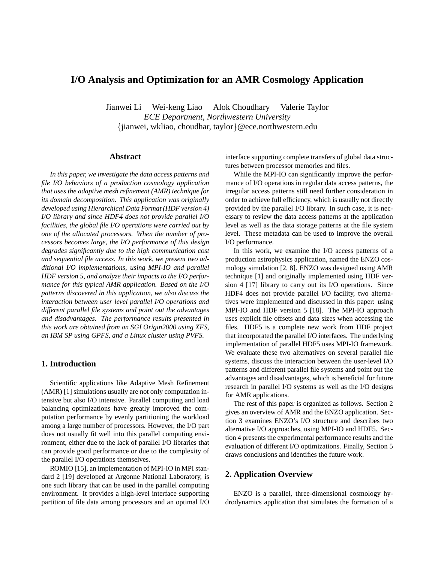# **I/O Analysis and Optimization for an AMR Cosmology Application**

Jianwei Li Wei-keng Liao Alok Choudhary Valerie Taylor *ECE Department, Northwestern University* {jianwei, wkliao, choudhar, taylor}@ece.northwestern.edu

### **Abstract**

*In this paper, we investigate the data access patterns and file I/O behaviors of a production cosmology application that uses the adaptive mesh refinement (AMR) technique for its domain decomposition. This application was originally developed using Hierarchical Data Format (HDF version 4) I/O library and since HDF4 does not provide parallel I/O facilities, the global file I/O operations were carried out by one of the allocated processors. When the number of processors becomes large, the I/O performance of this design degrades significantly due to the high communication cost and sequential file access. In this work, we present two additional I/O implementations, using MPI-IO and parallel HDF version 5, and analyze their impacts to the I/O performance for this typical AMR application. Based on the I/O patterns discovered in this application, we also discuss the interaction between user level parallel I/O operations and different parallel file systems and point out the advantages and disadvantages. The performance results presented in this work are obtained from an SGI Origin2000 using XFS, an IBM SP using GPFS, and a Linux cluster using PVFS.*

# **1. Introduction**

Scientific applications like Adaptive Mesh Refinement (AMR) [1] simulations usually are not only computation intensive but also I/O intensive. Parallel computing and load balancing optimizations have greatly improved the computation performance by evenly partitioning the workload among a large number of processors. However, the I/O part does not usually fit well into this parallel computing environment, either due to the lack of parallel I/O libraries that can provide good performance or due to the complexity of the parallel I/O operations themselves.

ROMIO [15], an implementation of MPI-IO in MPI standard 2 [19] developed at Argonne National Laboratory, is one such library that can be used in the parallel computing environment. It provides a high-level interface supporting partition of file data among processors and an optimal I/O

interface supporting complete transfers of global data structures between processor memories and files.

While the MPI-IO can significantly improve the performance of I/O operations in regular data access patterns, the irregular access patterns still need further consideration in order to achieve full efficiency, which is usually not directly provided by the parallel I/O library. In such case, it is necessary to review the data access patterns at the application level as well as the data storage patterns at the file system level. These metadata can be used to improve the overall I/O performance.

In this work, we examine the I/O access patterns of a production astrophysics application, named the ENZO cosmology simulation [2, 8]. ENZO was designed using AMR technique [1] and originally implemented using HDF version 4 [17] library to carry out its I/O operations. Since HDF4 does not provide parallel I/O facility, two alternatives were implemented and discussed in this paper: using MPI-IO and HDF version 5 [18]. The MPI-IO approach uses explicit file offsets and data sizes when accessing the files. HDF5 is a complete new work from HDF project that incorporated the parallel I/O interfaces. The underlying implementation of parallel HDF5 uses MPI-IO framework. We evaluate these two alternatives on several parallel file systems, discuss the interaction between the user-level I/O patterns and different parallel file systems and point out the advantages and disadvantages, which is beneficial for future research in parallel I/O systems as well as the I/O designs for AMR applications.

The rest of this paper is organized as follows. Section 2 gives an overview of AMR and the ENZO application. Section 3 examines ENZO's I/O structure and describes two alternative I/O approaches, using MPI-IO and HDF5. Section 4 presents the experimental performance results and the evaluation of different I/O optimizations. Finally, Section 5 draws conclusions and identifies the future work.

### **2. Application Overview**

ENZO is a parallel, three-dimensional cosmology hydrodynamics application that simulates the formation of a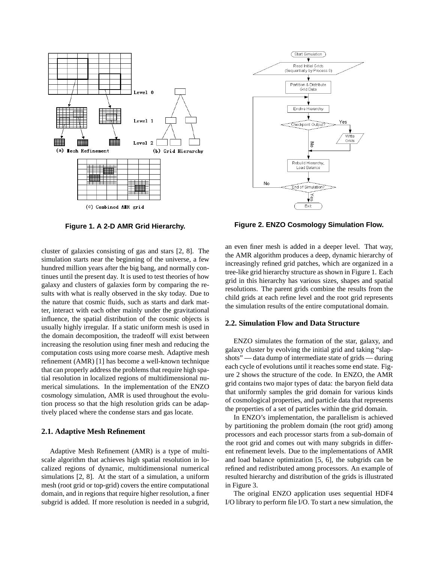

**Figure 1. A 2-D AMR Grid Hierarchy.**

cluster of galaxies consisting of gas and stars [2, 8]. The simulation starts near the beginning of the universe, a few hundred million years after the big bang, and normally continues until the present day. It is used to test theories of how galaxy and clusters of galaxies form by comparing the results with what is really observed in the sky today. Due to the nature that cosmic fluids, such as starts and dark matter, interact with each other mainly under the gravitational influence, the spatial distribution of the cosmic objects is usually highly irregular. If a static uniform mesh is used in the domain decomposition, the tradeoff will exist between increasing the resolution using finer mesh and reducing the computation costs using more coarse mesh. Adaptive mesh refinement (AMR) [1] has become a well-known technique that can properly address the problems that require high spatial resolution in localized regions of multidimensional numerical simulations. In the implementation of the ENZO cosmology simulation, AMR is used throughout the evolution process so that the high resolution grids can be adaptively placed where the condense stars and gas locate.

#### **2.1. Adaptive Mesh Refinement**

Adaptive Mesh Refinement (AMR) is a type of multiscale algorithm that achieves high spatial resolution in localized regions of dynamic, multidimensional numerical simulations [2, 8]. At the start of a simulation, a uniform mesh (root grid or top-grid) covers the entire computational domain, and in regions that require higher resolution, a finer subgrid is added. If more resolution is needed in a subgrid,



**Figure 2. ENZO Cosmology Simulation Flow.**

an even finer mesh is added in a deeper level. That way, the AMR algorithm produces a deep, dynamic hierarchy of increasingly refined grid patches, which are organized in a tree-like grid hierarchy structure as shown in Figure 1. Each grid in this hierarchy has various sizes, shapes and spatial resolutions. The parent grids combine the results from the child grids at each refine level and the root grid represents the simulation results of the entire computational domain.

#### **2.2. Simulation Flow and Data Structure**

ENZO simulates the formation of the star, galaxy, and galaxy cluster by evolving the initial grid and taking "slapshots" — data dump of intermediate state of grids — during each cycle of evolutions until it reaches some end state. Figure 2 shows the structure of the code. In ENZO, the AMR grid contains two major types of data: the baryon field data that uniformly samples the grid domain for various kinds of cosmological properties, and particle data that represents the properties of a set of particles within the grid domain.

In ENZO's implementation, the parallelism is achieved by partitioning the problem domain (the root grid) among processors and each processor starts from a sub-domain of the root grid and comes out with many subgrids in different refinement levels. Due to the implementations of AMR and load balance optimization [5, 6], the subgrids can be refined and redistributed among processors. An example of resulted hierarchy and distribution of the grids is illustrated in Figure 3.

The original ENZO application uses sequential HDF4 I/O library to perform file I/O. To start a new simulation, the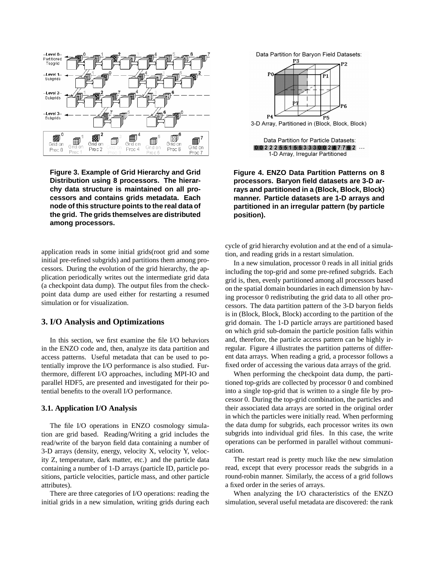

**Figure 3. Example of Grid Hierarchy and Grid Distribution using 8 processors. The hierarchy data structure is maintained on all processors and contains grids metadata. Each node of this structure points to the real data of the grid. The grids themselves are distributed among processors.**

application reads in some initial grids(root grid and some initial pre-refined subgrids) and partitions them among processors. During the evolution of the grid hierarchy, the application periodically writes out the intermediate grid data (a checkpoint data dump). The output files from the checkpoint data dump are used either for restarting a resumed simulation or for visualization.

# **3. I/O Analysis and Optimizations**

In this section, we first examine the file I/O behaviors in the ENZO code and, then, analyze its data partition and access patterns. Useful metadata that can be used to potentially improve the I/O performance is also studied. Furthermore, different I/O approaches, including MPI-IO and parallel HDF5, are presented and investigated for their potential benefits to the overall I/O performance.

#### **3.1. Application I/O Analysis**

The file I/O operations in ENZO cosmology simulation are grid based. Reading/Writing a grid includes the read/write of the baryon field data containing a number of 3-D arrays (density, energy, velocity X, velocity Y, velocity Z, temperature, dark matter, etc.) and the particle data containing a number of 1-D arrays (particle ID, particle positions, particle velocities, particle mass, and other particle attributes).

There are three categories of I/O operations: reading the initial grids in a new simulation, writing grids during each Data Partition for Baryon Field Datasets:



3-D Array, Partitioned in (Block, Block, Block)

Data Partition for Particle Datasets: 002225515533300247762 ... 1-D Array, Irregular Partitioned

**Figure 4. ENZO Data Partition Patterns on 8 processors. Baryon field datasets are 3-D arrays and partitioned in a (Block, Block, Block) manner. Particle datasets are 1-D arrays and partitioned in an irregular pattern (by particle position).**

cycle of grid hierarchy evolution and at the end of a simulation, and reading grids in a restart simulation.

In a new simulation, processor 0 reads in all initial grids including the top-grid and some pre-refined subgrids. Each grid is, then, evenly partitioned among all processors based on the spatial domain boundaries in each dimension by having processor 0 redistributing the grid data to all other processors. The data partition pattern of the 3-D baryon fields is in (Block, Block, Block) according to the partition of the grid domain. The 1-D particle arrays are partitioned based on which grid sub-domain the particle position falls within and, therefore, the particle access pattern can be highly irregular. Figure 4 illustrates the partition patterns of different data arrays. When reading a grid, a processor follows a fixed order of accessing the various data arrays of the grid.

When performing the checkpoint data dump, the partitioned top-grids are collected by processor 0 and combined into a single top-grid that is written to a single file by processor 0. During the top-grid combination, the particles and their associated data arrays are sorted in the original order in which the particles were initially read. When performing the data dump for subgrids, each processor writes its own subgrids into individual grid files. In this case, the write operations can be performed in parallel without communication.

The restart read is pretty much like the new simulation read, except that every processor reads the subgrids in a round-robin manner. Similarly, the access of a grid follows a fixed order in the series of arrays.

When analyzing the I/O characteristics of the ENZO simulation, several useful metadata are discovered: the rank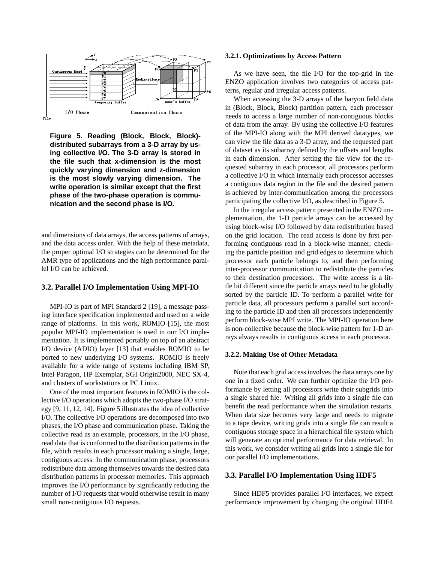

**Figure 5. Reading (Block, Block, Block) distributed subarrays from a 3-D array by using collective I/O. The 3-D array is stored in the file such that x-dimension is the most quickly varying dimension and z-dimension is the most slowly varying dimension. The write operation is similar except that the first phase of the two-phase operation is communication and the second phase is I/O.**

and dimensions of data arrays, the access patterns of arrays, and the data access order. With the help of these metadata, the proper optimal I/O strategies can be determined for the AMR type of applications and the high performance parallel I/O can be achieved.

#### **3.2. Parallel I/O Implementation Using MPI-IO**

MPI-IO is part of MPI Standard 2 [19], a message passing interface specification implemented and used on a wide range of platforms. In this work, ROMIO [15], the most popular MPI-IO implementation is used in our I/O implementation. It is implemented portably on top of an abstract I/O device (ADIO) layer [13] that enables ROMIO to be ported to new underlying I/O systems. ROMIO is freely available for a wide range of systems including IBM SP, Intel Paragon, HP Exemplar, SGI Origin2000, NEC SX-4, and clusters of workstations or PC Linux.

One of the most important features in ROMIO is the collective I/O operations which adopts the two-phase I/O strategy [9, 11, 12, 14]. Figure 5 illustrates the idea of collective I/O. The collective I/O operations are decomposed into two phases, the I/O phase and communication phase. Taking the collective read as an example, processors, in the I/O phase, read data that is conformed to the distribution patterns in the file, which results in each processor making a single, large, contiguous access. In the communication phase, processors redistribute data among themselves towards the desired data distribution patterns in processor memories. This approach improves the I/O performance by significantly reducing the number of I/O requests that would otherwise result in many small non-contiguous I/O requests.

#### **3.2.1. Optimizations by Access Pattern**

As we have seen, the file I/O for the top-grid in the ENZO application involves two categories of access patterns, regular and irregular access patterns.

When accessing the 3-D arrays of the baryon field data in (Block, Block, Block) partition pattern, each processor needs to access a large number of non-contiguous blocks of data from the array. By using the collective I/O features of the MPI-IO along with the MPI derived datatypes, we can view the file data as a 3-D array, and the requested part of dataset as its subarray defined by the offsets and lengths in each dimension. After setting the file view for the requested subarray in each processor, all processors perform a collective I/O in which internally each processor accesses a contiguous data region in the file and the desired pattern is achieved by inter-communication among the processors participating the collective I/O, as described in Figure 5.

In the irregular access pattern presented in the ENZO implementation, the 1-D particle arrays can be accessed by using block-wise I/O followed by data redistribution based on the grid location. The read access is done by first performing contiguous read in a block-wise manner, checking the particle position and grid edges to determine which processor each particle belongs to, and then performing inter-processor communication to redistribute the particles to their destination processors. The write access is a little bit different since the particle arrays need to be globally sorted by the particle ID. To perform a parallel write for particle data, all processors perform a parallel sort according to the particle ID and then all processors independently perform block-wise MPI write. The MPI-IO operation here is non-collective because the block-wise pattern for 1-D arrays always results in contiguous access in each processor.

#### **3.2.2. Making Use of Other Metadata**

Note that each grid access involves the data arrays one by one in a fixed order. We can further optimize the I/O performance by letting all processors write their subgrids into a single shared file. Writing all grids into a single file can benefit the read performance when the simulation restarts. When data size becomes very large and needs to migrate to a tape device, writing grids into a single file can result a contiguous storage space in a hierarchical file system which will generate an optimal performance for data retrieval. In this work, we consider writing all grids into a single file for our parallel I/O implementations.

### **3.3. Parallel I/O Implementation Using HDF5**

Since HDF5 provides parallel I/O interfaces, we expect performance improvement by changing the original HDF4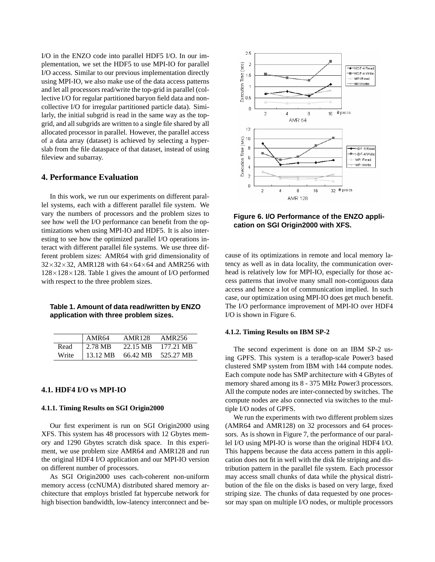I/O in the ENZO code into parallel HDF5 I/O. In our implementation, we set the HDF5 to use MPI-IO for parallel I/O access. Similar to our previous implementation directly using MPI-IO, we also make use of the data access patterns and let all processors read/write the top-grid in parallel (collective I/O for regular partitioned baryon field data and noncollective I/O for irregular partitioned particle data). Similarly, the initial subgrid is read in the same way as the topgrid, and all subgrids are written to a single file shared by all allocated processor in parallel. However, the parallel access of a data array (dataset) is achieved by selecting a hyperslab from the file dataspace of that dataset, instead of using fileview and subarray.

# **4. Performance Evaluation**

In this work, we run our experiments on different parallel systems, each with a different parallel file system. We vary the numbers of processors and the problem sizes to see how well the I/O performance can benefit from the optimizations when using MPI-IO and HDF5. It is also interesting to see how the optimized parallel I/O operations interact with different parallel file systems. We use three different problem sizes: AMR64 with grid dimensionality of  $32\times32\times32$ , AMR128 with  $64\times64\times64$  and AMR256 with  $128\times128\times128$ . Table 1 gives the amount of I/O performed with respect to the three problem sizes.

### **Table 1. Amount of data read/written by ENZO application with three problem sizes.**

|       | AMR64    | AMR128   | AMR256    |
|-------|----------|----------|-----------|
| Read  | 2.78 MB  | 22.15 MB | 177.21 MB |
| Write | 13.12 MB | 66.42 MB | 525.27 MB |

# **4.1. HDF4 I/O vs MPI-IO**

#### **4.1.1. Timing Results on SGI Origin2000**

Our first experiment is run on SGI Origin2000 using XFS. This system has 48 processors with 12 Gbytes memory and 1290 Gbytes scratch disk space. In this experiment, we use problem size AMR64 and AMR128 and run the original HDF4 I/O application and our MPI-IO version on different number of processors.

As SGI Origin2000 uses cach-coherent non-uniform memory access (ccNUMA) distributed shared memory architecture that employs bristled fat hypercube network for high bisection bandwidth, low-latency interconnect and be-



**Figure 6. I/O Performance of the ENZO application on SGI Origin2000 with XFS.**

cause of its optimizations in remote and local memory latency as well as in data locality, the communication overhead is relatively low for MPI-IO, especially for those access patterns that involve many small non-contiguous data access and hence a lot of communication implied. In such case, our optimization using MPI-IO does get much benefit. The I/O performance improvement of MPI-IO over HDF4 I/O is shown in Figure 6.

### **4.1.2. Timing Results on IBM SP-2**

The second experiment is done on an IBM SP-2 using GPFS. This system is a teraflop-scale Power3 based clustered SMP system from IBM with 144 compute nodes. Each compute node has SMP architecture with 4 GBytes of memory shared among its 8 - 375 MHz Power3 processors. All the compute nodes are inter-connected by switches. The compute nodes are also connected via switches to the multiple I/O nodes of GPFS.

We run the experiments with two different problem sizes (AMR64 and AMR128) on 32 processors and 64 processors. As is shown in Figure 7, the performance of our parallel I/O using MPI-IO is worse than the original HDF4 I/O. This happens because the data access pattern in this application does not fit in well with the disk file striping and distribution pattern in the parallel file system. Each processor may access small chunks of data while the physical distribution of the file on the disks is based on very large, fixed striping size. The chunks of data requested by one processor may span on multiple I/O nodes, or multiple processors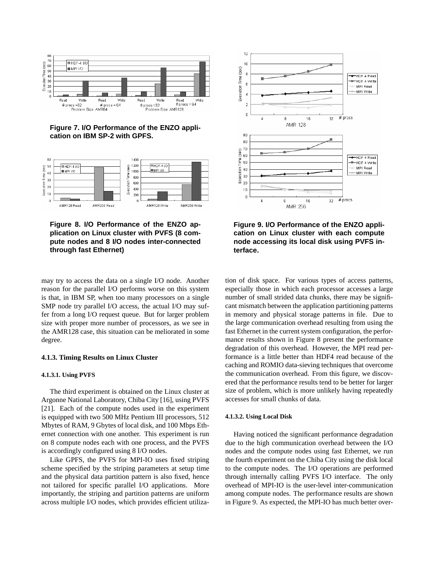

**Figure 7. I/O Performance of the ENZO application on IBM SP-2 with GPFS.**



**Figure 8. I/O Performance of the ENZO application on Linux cluster with PVFS (8 compute nodes and 8 I/O nodes inter-connected through fast Ethernet)**

may try to access the data on a single I/O node. Another reason for the parallel I/O performs worse on this system is that, in IBM SP, when too many processors on a single SMP node try parallel I/O access, the actual I/O may suffer from a long I/O request queue. But for larger problem size with proper more number of processors, as we see in the AMR128 case, this situation can be meliorated in some degree.

#### **4.1.3. Timing Results on Linux Cluster**

#### **4.1.3.1. Using PVFS**

The third experiment is obtained on the Linux cluster at Argonne National Laboratory, Chiba City [16], using PVFS [21]. Each of the compute nodes used in the experiment is equipped with two 500 MHz Pentium III processors, 512 Mbytes of RAM, 9 Gbytes of local disk, and 100 Mbps Ethernet connection with one another. This experiment is run on 8 compute nodes each with one process, and the PVFS is accordingly configured using 8 I/O nodes.

Like GPFS, the PVFS for MPI-IO uses fixed striping scheme specified by the striping parameters at setup time and the physical data partition pattern is also fixed, hence not tailored for specific parallel I/O applications. More importantly, the striping and partition patterns are uniform across multiple I/O nodes, which provides efficient utiliza-



**Figure 9. I/O Performance of the ENZO application on Linux cluster with each compute node accessing its local disk using PVFS interface.**

tion of disk space. For various types of access patterns, especially those in which each processor accesses a large number of small strided data chunks, there may be significant mismatch between the application partitioning patterns in memory and physical storage patterns in file. Due to the large communication overhead resulting from using the fast Ethernet in the current system configuration, the performance results shown in Figure 8 present the performance degradation of this overhead. However, the MPI read performance is a little better than HDF4 read because of the caching and ROMIO data-sieving techniques that overcome the communication overhead. From this figure, we discovered that the performance results tend to be better for larger size of problem, which is more unlikely having repeatedly accesses for small chunks of data.

#### **4.1.3.2. Using Local Disk**

Having noticed the significant performance degradation due to the high communication overhead between the I/O nodes and the compute nodes using fast Ethernet, we run the fourth experiment on the Chiba City using the disk local to the compute nodes. The I/O operations are performed through internally calling PVFS I/O interface. The only overhead of MPI-IO is the user-level inter-communication among compute nodes. The performance results are shown in Figure 9. As expected, the MPI-IO has much better over-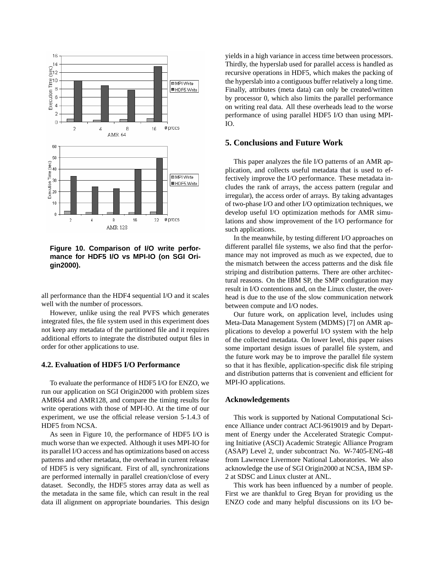

**Figure 10. Comparison of I/O write performance for HDF5 I/O vs MPI-IO (on SGI Origin2000).**

all performance than the HDF4 sequential I/O and it scales well with the number of processors.

However, unlike using the real PVFS which generates integrated files, the file system used in this experiment does not keep any metadata of the partitioned file and it requires additional efforts to integrate the distributed output files in order for other applications to use.

## **4.2. Evaluation of HDF5 I/O Performance**

To evaluate the performance of HDF5 I/O for ENZO, we run our application on SGI Origin2000 with problem sizes AMR64 and AMR128, and compare the timing results for write operations with those of MPI-IO. At the time of our experiment, we use the official release version 5-1.4.3 of HDF5 from NCSA.

As seen in Figure 10, the performance of HDF5 I/O is much worse than we expected. Although it uses MPI-IO for its parallel I/O access and has optimizations based on access patterns and other metadata, the overhead in current release of HDF5 is very significant. First of all, synchronizations are performed internally in parallel creation/close of every dataset. Secondly, the HDF5 stores array data as well as the metadata in the same file, which can result in the real data ill alignment on appropriate boundaries. This design

yields in a high variance in access time between processors. Thirdly, the hyperslab used for parallel access is handled as recursive operations in HDF5, which makes the packing of the hyperslab into a contiguous buffer relatively a long time. Finally, attributes (meta data) can only be created/written by processor 0, which also limits the parallel performance on writing real data. All these overheads lead to the worse performance of using parallel HDF5 I/O than using MPI-IO.

### **5. Conclusions and Future Work**

This paper analyzes the file I/O patterns of an AMR application, and collects useful metadata that is used to effectively improve the I/O performance. These metadata includes the rank of arrays, the access pattern (regular and irregular), the access order of arrays. By taking advantages of two-phase I/O and other I/O optimization techniques, we develop useful I/O optimization methods for AMR simulations and show improvement of the I/O performance for such applications.

In the meanwhile, by testing different I/O approaches on different parallel file systems, we also find that the performance may not improved as much as we expected, due to the mismatch between the access patterns and the disk file striping and distribution patterns. There are other architectural reasons. On the IBM SP, the SMP configuration may result in I/O contentions and, on the Linux cluster, the overhead is due to the use of the slow communication network between compute and I/O nodes.

Our future work, on application level, includes using Meta-Data Management System (MDMS) [7] on AMR applications to develop a powerful I/O system with the help of the collected metadata. On lower level, this paper raises some important design issues of parallel file system, and the future work may be to improve the parallel file system so that it has flexible, application-specific disk file striping and distribution patterns that is convenient and efficient for MPI-IO applications.

#### **Acknowledgements**

This work is supported by National Computational Science Alliance under contract ACI-9619019 and by Department of Energy under the Accelerated Strategic Computing Initiative (ASCI) Academic Strategic Alliance Program (ASAP) Level 2, under subcontract No. W-7405-ENG-48 from Lawrence Livermore National Laboratories. We also acknowledge the use of SGI Origin2000 at NCSA, IBM SP-2 at SDSC and Linux cluster at ANL.

This work has been influenced by a number of people. First we are thankful to Greg Bryan for providing us the ENZO code and many helpful discussions on its I/O be